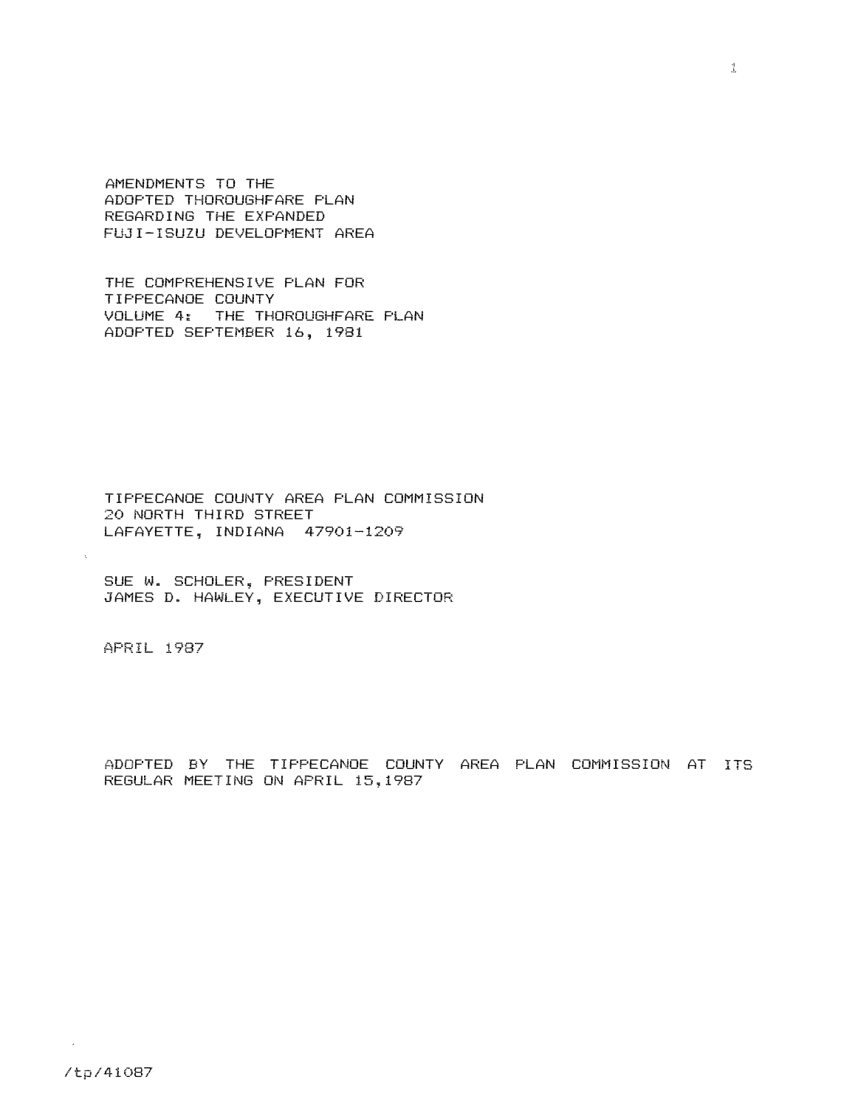AMENDMENTS TO THE ADOPTED THOROUGHFARE PLAN REGARDING THE EXPANDED FUJI-ISUZU DEVELOPMENT AREA

THE COMPREHENSIVE PLAN FOR TIPPECANDE COUNTY VOLUME 4: THE THOROUGHFARE PLAN ADOPTED SEPTEMBER 16, 1981

TIPPECANDE COUNTY AREA PLAN COMMISSION 20 NORTH THIRD STREET LAFAYETTE, INDIANA 47901-1209

SUE W. SCHOLER, PRESIDENT JAMES D. HAWLEY, EXECUTIVE DIRECTOR

APRIL 1987

ADOPTED BY THE TIPPECANDE COUNTY AREA PLAN COMMISSION AT ITS REGULAR MEETING ON APRIL 15,1987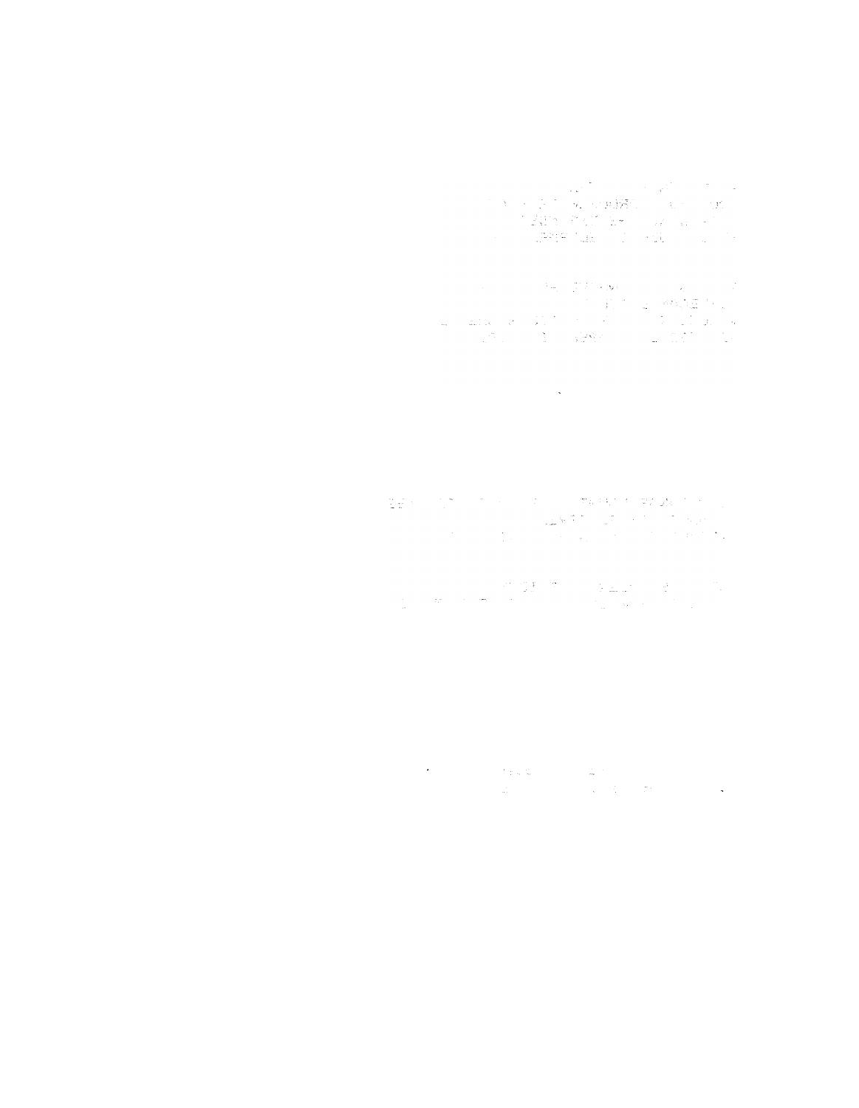$\mathcal{L}^{\text{max}}_{\text{max}}$  , where  $\mathcal{L}^{\text{max}}_{\text{max}}$ 

 $\begin{aligned} \mathbb{E} \mathbf{g}^2_{\mathbf{p}}(\mathbf{x}) = \mathbb{E} \left[ \mathbf{f}^2_{\mathbf{p}} - \mathbf{f}^2_{\mathbf{p}}(\mathbf{x}) \right] \mathbf{x} + \mathbf{g}^2_{\mathbf{p}} \mathbf{g}^2_{\mathbf{p}}(\mathbf{x}) \mathbf{x} + \mathbf{g}^2_{\mathbf{p}} \mathbf{g}^2_{\mathbf{p}}(\mathbf{x}) \mathbf{x} + \mathbf{g}^2_{\mathbf{p}} \mathbf{g}^2_{\mathbf{p}}(\mathbf{x}) \right] \\ & \times \mathbb{E} \left[ \$ 

 $\label{eq:R1} \mathcal{O}(\frac{\partial \Psi}{\partial t}) = \mathcal{O}(\frac{\partial \Psi}{\partial t}) = \mathcal{O}(\frac{\partial \Psi}{\partial t}) = \mathcal{O}(\frac{\partial \Psi}{\partial t}) = \mathcal{O}(\frac{\partial \Psi}{\partial t}) = \mathcal{O}(\frac{\partial \Psi}{\partial t}) = \mathcal{O}(\frac{\partial \Psi}{\partial t})$ 

 $\label{eq:2.1} \frac{1}{2} \int_{\mathbb{R}^3} \frac{1}{\sqrt{2\pi}} \int_{\mathbb{R}^3} \frac{1}{\sqrt{2\pi}} \frac{1}{\sqrt{2\pi}} \int_{\mathbb{R}^3} \frac{1}{\sqrt{2\pi}} \int_{\mathbb{R}^3} \frac{1}{\sqrt{2\pi}} \int_{\mathbb{R}^3} \frac{1}{\sqrt{2\pi}} \int_{\mathbb{R}^3} \frac{1}{\sqrt{2\pi}} \int_{\mathbb{R}^3} \frac{1}{\sqrt{2\pi}} \int_{\mathbb{R}^3} \frac{1}{\sqrt{2\pi}}$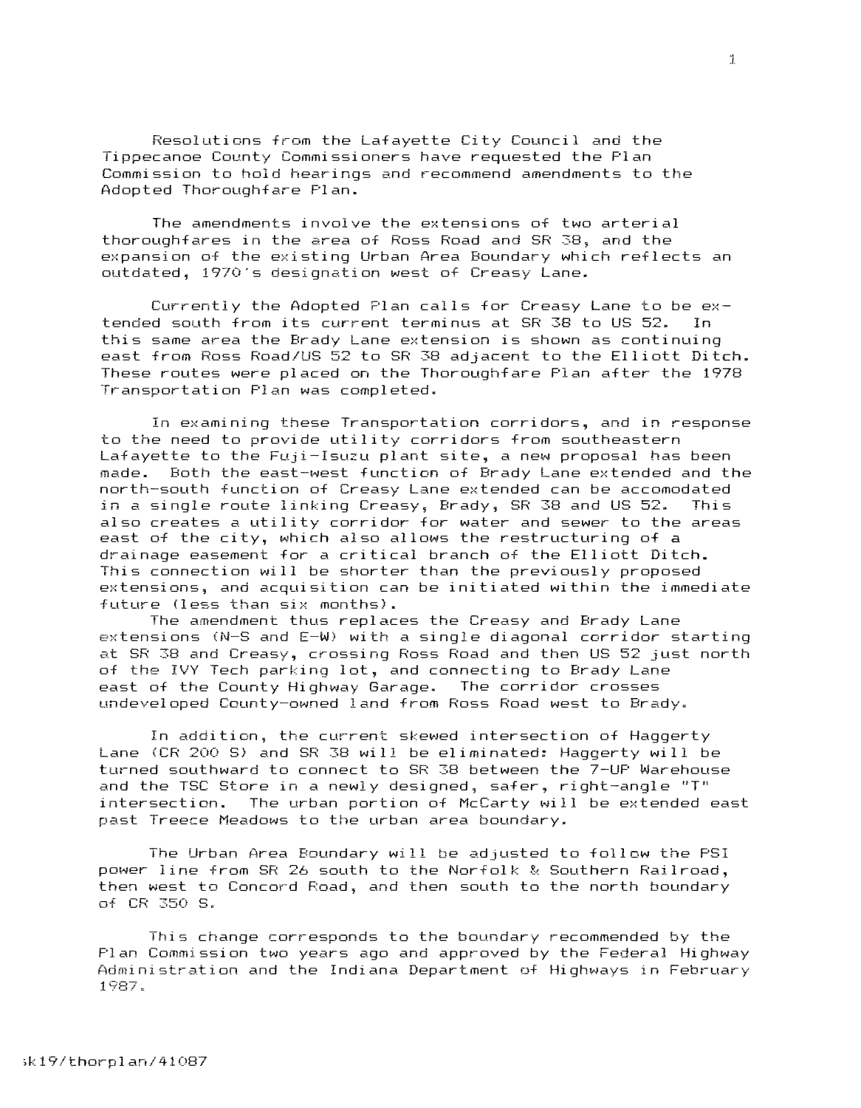Resolutions from the Lafayette City Council and the Tippecanoe County Commissioners have requested the Plan Commission to hold hearings and recommend amendments to the Adopted Thoroughfare Plan.

The amendments involve the extensions of two arterial thoroughfares in the area of Ross Road and SR 38, and the expansion of the existing Urban Area Boundary which reflects an outdated, 1970's designation west of Creasy Lane.

Currently the Adopted Plan calls for Creasy Lane to be extended south from its current terminus at SR 38 to US 52. In this same area the Brady Lane extension is shown as continuing east from Ross Road/US 52 to SR 38 adjacent to the Elliott Ditch. These routes were placed on the Thoroughfare Plan after the 1978 Transportation Plan was completed.

In examining these Transportation corridors, and in response to the need to provide utility corridors from southeastern Lafayette to the Fuji-Isuzu plant site, a new proposal has been made. Both the east-west function of Brady Lane extended and the north-south function of Creasy Lane extended can be accomodated in a single route linking Creasy, Brady, SR 38 and US 52. This also creates a utility corridor for water and sewer to the areas east of the city, which also allows the restructuring of a drainage easement for a critical branch of the Elliott Ditch. This connection will be shorter than the previously proposed extensions, and acquisition can be initiated within the immediate future (less than six months).

The amendment thus replaces the Creasy and Brady Lane extensions (N-S and E-W) with a single diagonal corridor starting at SR 38 and Creasy, crossing Ross Road and then US 52 just north of the IVY Tech parking lot, and connecting to Brady Lane east of the County Highway Garage. The corridor crosses undeveloped County-owned land from Ross Road west to Brady.

In addition, the current skewed intersection of Haggerty Lane CCR 200 S> and SR 38 will be eliminated: Haggerty will be turned southward to connect to SR 38 between the 7-UP Warehouse and the TSC Store in a newly designed, safer, right-angle "T" intersection. The urban portion of McCarty will be extended east past Treece Meadows to the urban area boundary.

The Urban Area Boundary will be adjusted to follow the PSI power line from SR 26 south to the Norfolk & Southern Railroad, then west to Concord Road, and then south to the north boundary of CR 350 S.

This change corresponds to the boundary recommended by the Plan Commission two years ago and approved by the Federal Highway Administration and the Indiana Department of Highways in February 1987.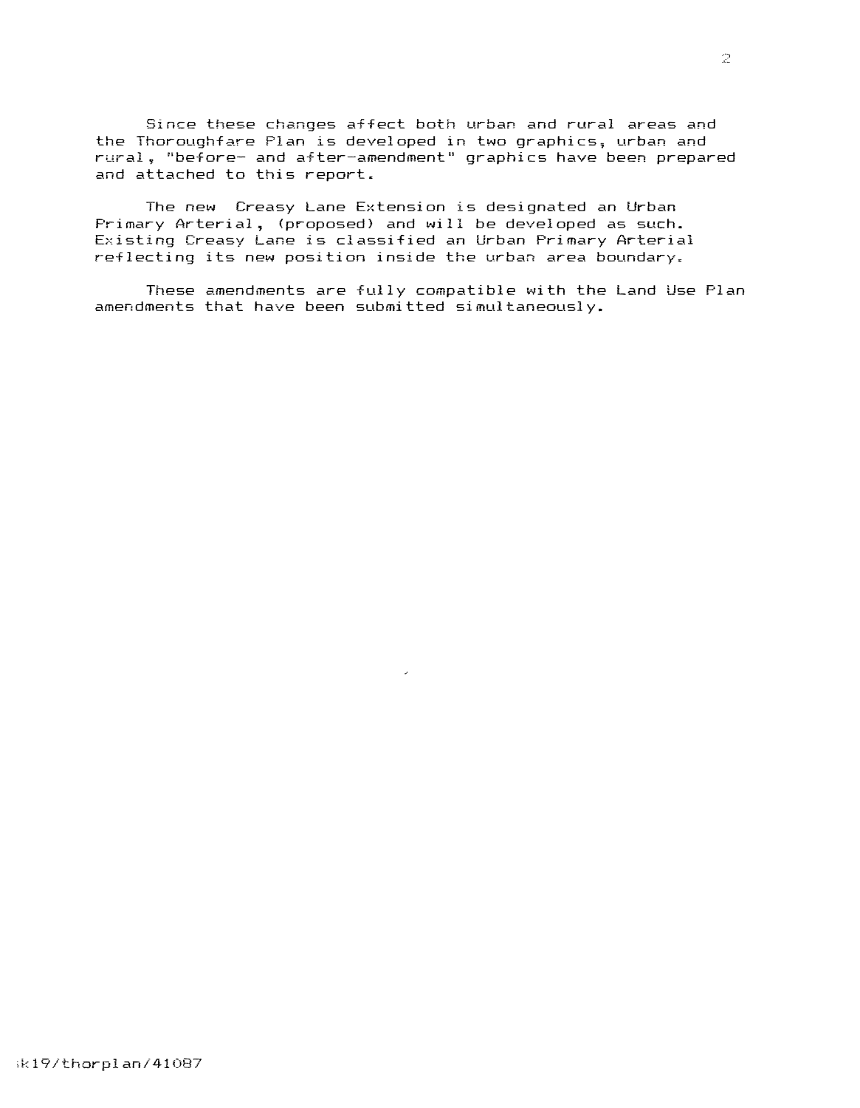Since these changes affect both urban and rural areas and the Thoroughfare Plan is developed in two graphics, urban and rural, "before- and after-amendment" graphics have been prepared and attached to this report.

The new Creasy Lane Extension is designated an Urban Primary Arterial, (proposed) and will be developed as such. Existing Creasy Lane is classified an Urban Primary Arterial reflecting its new position inside the urban area boundary.

These amendments are fully compatible with the Land Use Plan amendments that have been submitted simultaneously.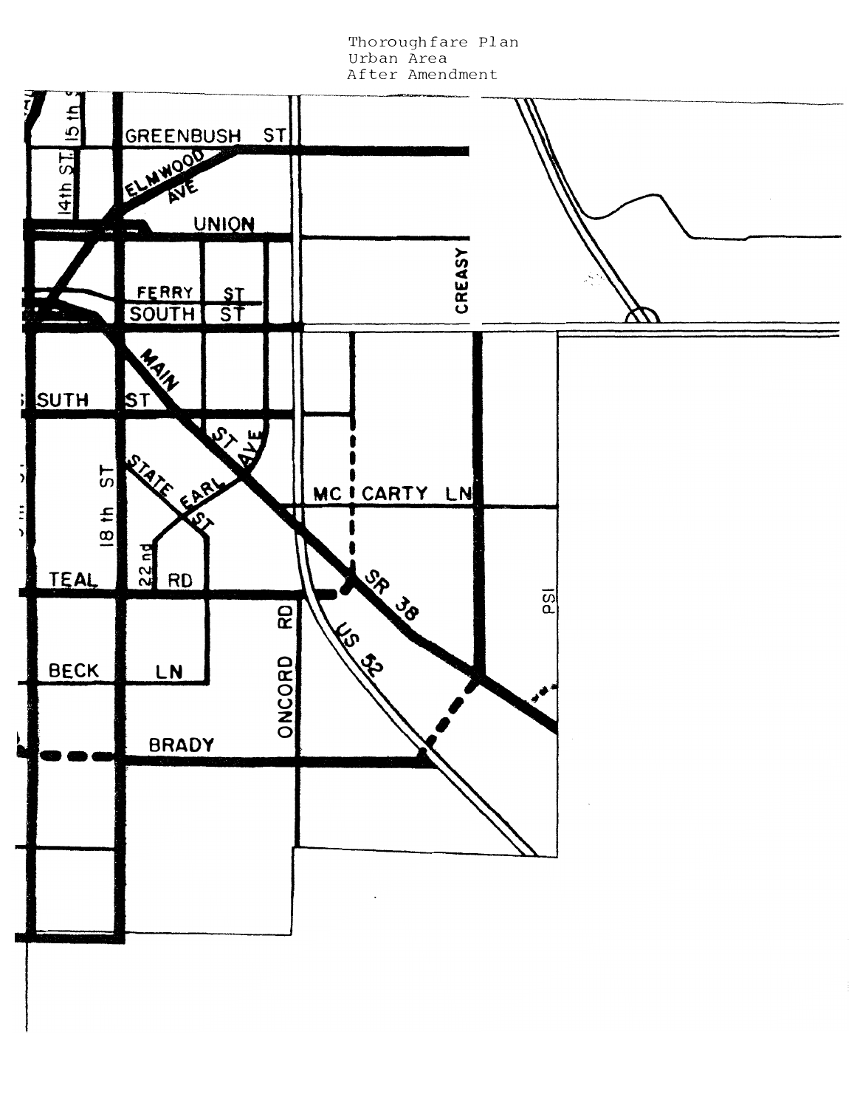Thoroughfare Plan Urban Area After Amendment

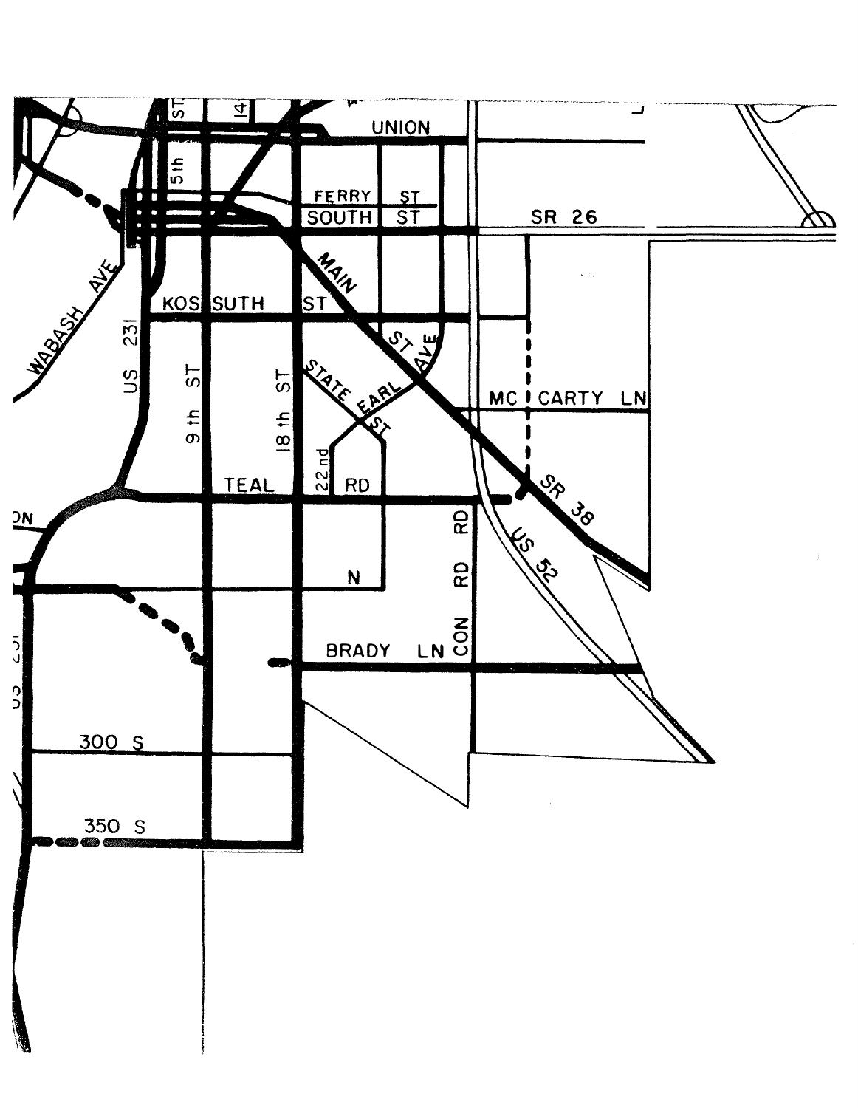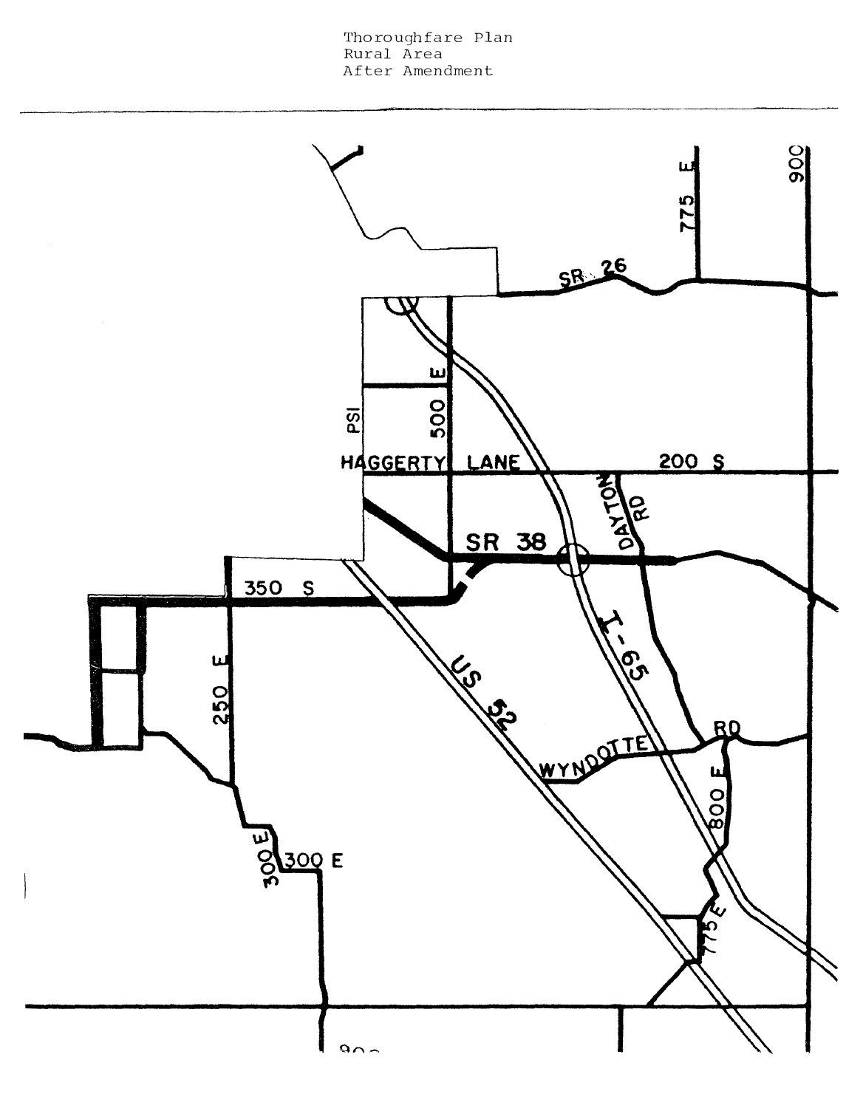Thoroughtare Plan Rural Area After Amendment